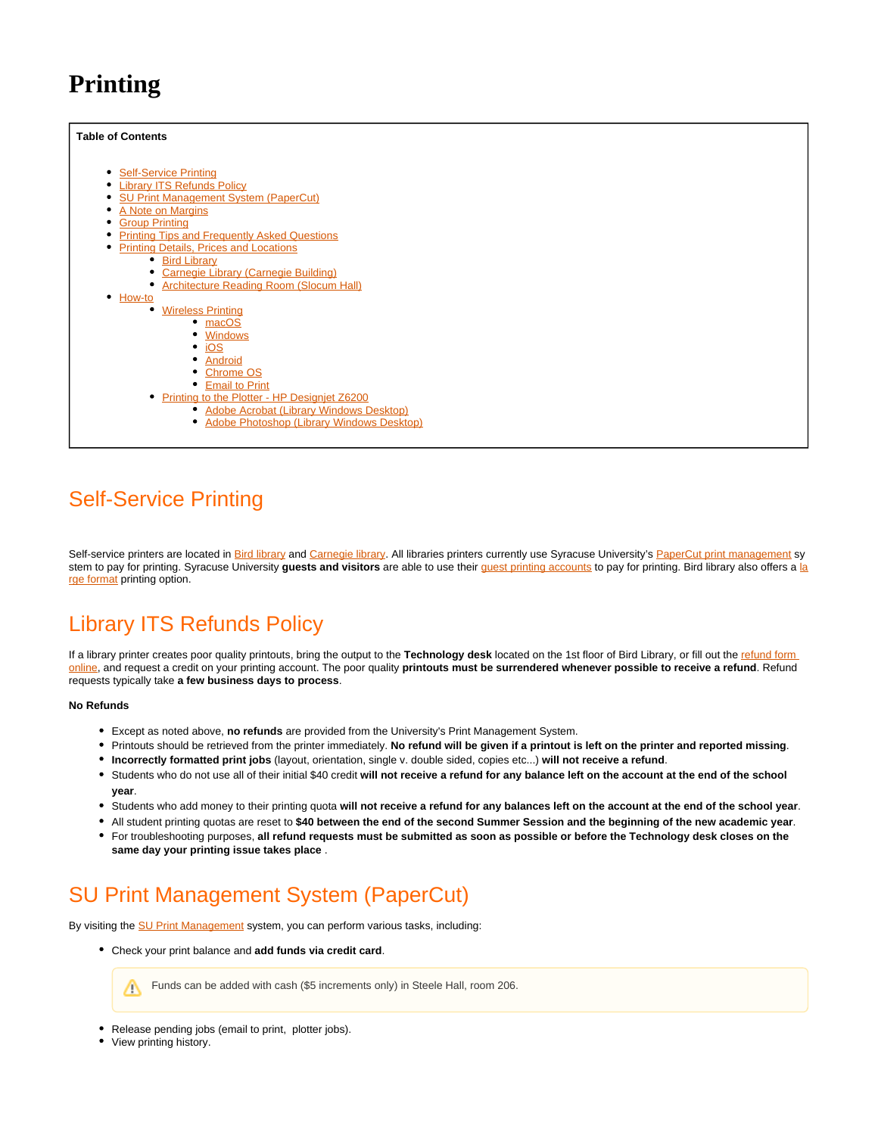# **Printing**

#### <span id="page-0-3"></span>**Table of Contents**

**[Self-Service Printing](#page-0-0)**  $\bullet$ [Library ITS Refunds Policy](#page-0-1) [SU Print Management System \(PaperCut\)](#page-0-2)  $\bullet$ [A Note on Margins](#page-1-0) [Group Printing](#page-1-1)  $\bullet$ **[Printing Tips and Frequently Asked Questions](#page-1-2) [Printing Details, Prices and Locations](#page-1-3)** • [Bird Library](#page-1-4) [Carnegie Library \(Carnegie Building\)](#page-2-0) [Architecture Reading Room \(Slocum Hall\)](#page-2-1) • [How-to](#page-2-2) [Wireless Printing](#page-2-3) • [macOS](#page-2-4) [Windows](#page-3-0)  $\cdot$  [iOS](#page-4-0) • [Android](#page-4-1) • [Chrome OS](#page-5-0) **[Email to Print](#page-5-1)** [Printing to the Plotter - HP Designjet Z6200](#page-6-0) **[Adobe Acrobat \(Library Windows Desktop\)](#page-6-1)** • [Adobe Photoshop \(Library Windows Desktop\)](#page-6-2)

# <span id="page-0-0"></span>Self-Service Printing

Self-service printers are located in **Bird library and Carnegie library**. All libraries printers currently use Syracuse University's [PaperCut print management](https://printing.syr.edu/user) sy stem to pay for printing. Syracuse University **guests and visitors** are able to use their [guest printing accounts](https://answers.syr.edu/display/library/Guests+and+Visitors#GuestsandVisitors-CreatingaGuestPrintingAccount) to pay for printing. Bird library also offers a [la](https://answers.syr.edu/display/library/Printing#Printing-PrintingtothePlotter-HPDesignjetZ6200) [rge format](https://answers.syr.edu/display/library/Printing#Printing-PrintingtothePlotter-HPDesignjetZ6200) printing option.

# <span id="page-0-1"></span>Library ITS Refunds Policy

If a library printer creates poor quality printouts, bring the output to the **Technology desk** located on the 1st floor of Bird Library, or fill out the [refund form](https://library.syr.edu/plink/online_refund_request)  [online](https://library.syr.edu/plink/online_refund_request), and request a credit on your printing account. The poor quality **printouts must be surrendered whenever possible to receive a refund**. Refund requests typically take **a few business days to process**.

#### **No Refunds**

- Except as noted above, **no refunds** are provided from the University's Print Management System.
- Printouts should be retrieved from the printer immediately. **No refund will be given if a printout is left on the printer and reported missing**.
- **Incorrectly formatted print jobs** (layout, orientation, single v. double sided, copies etc...) **will not receive a refund**.
- Students who do not use all of their initial \$40 credit **will not receive a refund for any balance left on the account at the end of the school year**.
- Students who add money to their printing quota **will not receive a refund for any balances left on the account at the end of the school year**.
- All student printing quotas are reset to **\$40 between the end of the second Summer Session and the beginning of the new academic year**.
- For troubleshooting purposes, **all refund requests must be submitted as soon as possible or before the Technology desk closes on the same day your printing issue takes place** .

# <span id="page-0-2"></span>SU Print Management System (PaperCut)

By visiting the **SU Print Management** system, you can perform various tasks, including:

Check your print balance and **add funds via credit card**.



- Release pending jobs (email to print, plotter jobs).
- View printing history.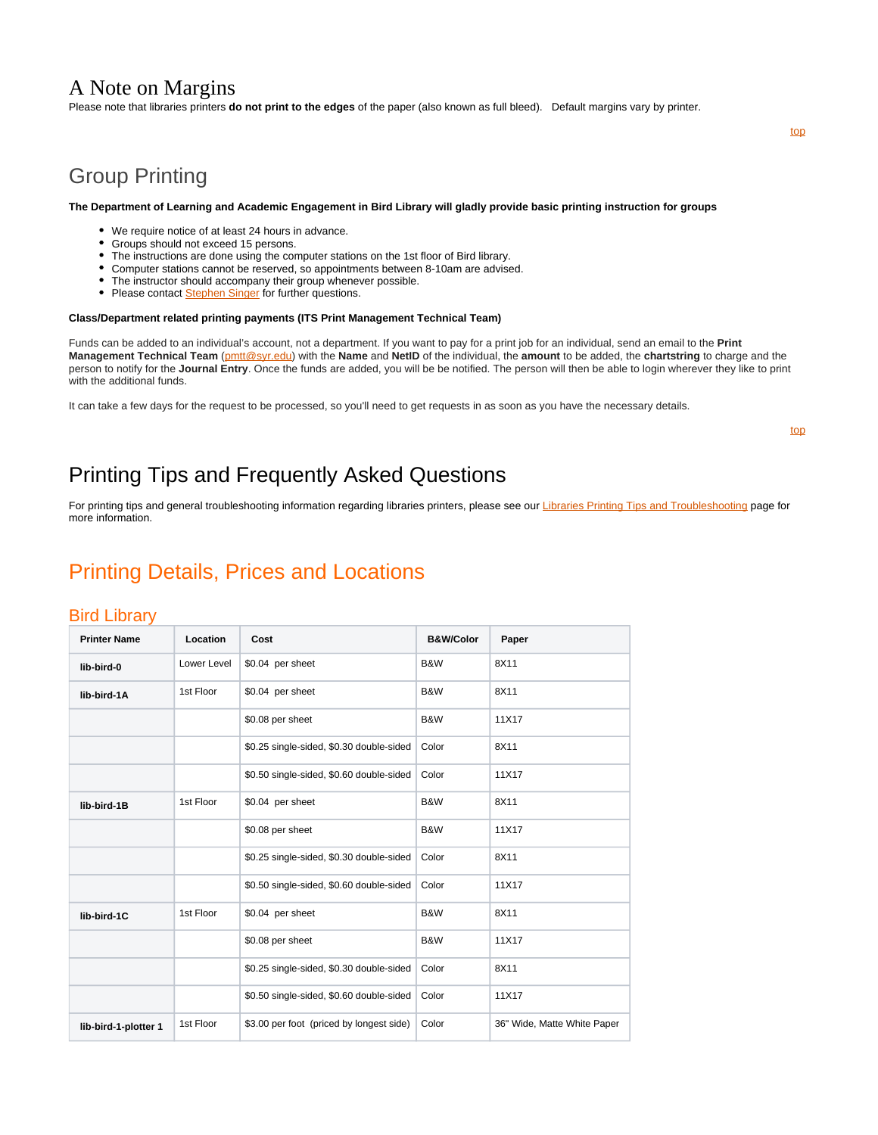### <span id="page-1-0"></span>A Note on Margins

Please note that libraries printers **do not print to the edges** of the paper (also known as full bleed). Default margins vary by printer.

## <span id="page-1-1"></span>Group Printing

#### **The Department of Learning and Academic Engagement in Bird Library will gladly provide basic printing instruction for groups**

- We require notice of at least 24 hours in advance.
- Groups should not exceed 15 persons.
- The instructions are done using the computer stations on the 1st floor of Bird library.
- Computer stations cannot be reserved, so appointments between 8-10am are advised.
- The instructor should accompany their group whenever possible.
- Please contact **Stephen Singer** for further questions.

#### **Class/Department related printing payments (ITS Print Management Technical Team)**

Funds can be added to an individual's account, not a department. If you want to pay for a print job for an individual, send an email to the **Print Management Technical Team** ([pmtt@syr.edu\)](mailto:pmtt@syr.edu) with the **Name** and **NetID** of the individual, the **amount** to be added, the **chartstring** to charge and the person to notify for the **Journal Entry**. Once the funds are added, you will be be notified. The person will then be able to login wherever they like to print with the additional funds.

It can take a few days for the request to be processed, so you'll need to get requests in as soon as you have the necessary details.

[top](#page-0-3)

[top](#page-0-3)

# <span id="page-1-2"></span>Printing Tips and Frequently Asked Questions

For printing tips and general troubleshooting information regarding libraries printers, please see our [Libraries Printing Tips and Troubleshooting](https://answers.syr.edu/display/library/Libraries+Printing+Tips+and+Troubleshooting) page for more information.

### <span id="page-1-3"></span>Printing Details, Prices and Locations

### <span id="page-1-4"></span>Bird Library

| <b>Printer Name</b>  | Location    | Cost                                     | <b>B&amp;W/Color</b> | Paper                       |
|----------------------|-------------|------------------------------------------|----------------------|-----------------------------|
| lib-bird-0           | Lower Level | \$0.04 per sheet                         | B&W                  | 8X11                        |
| lib-bird-1A          | 1st Floor   | \$0.04 per sheet                         | B&W                  | 8X11                        |
|                      |             | \$0.08 per sheet                         | B&W                  | 11X17                       |
|                      |             | \$0.25 single-sided, \$0.30 double-sided | Color                | 8X11                        |
|                      |             | \$0.50 single-sided, \$0.60 double-sided | Color                | 11X17                       |
| lib-bird-1B          | 1st Floor   | \$0.04 per sheet                         | B&W                  | 8X11                        |
|                      |             | \$0.08 per sheet                         | B&W                  | 11X17                       |
|                      |             | \$0.25 single-sided, \$0.30 double-sided | Color                | 8X11                        |
|                      |             | \$0.50 single-sided, \$0.60 double-sided | Color                | 11X17                       |
| lib-bird-1C          | 1st Floor   | \$0.04 per sheet                         | B&W                  | 8X11                        |
|                      |             | \$0.08 per sheet                         | B&W                  | 11X17                       |
|                      |             | \$0.25 single-sided, \$0.30 double-sided | Color                | 8X11                        |
|                      |             | \$0.50 single-sided, \$0.60 double-sided | Color                | 11X17                       |
| lib-bird-1-plotter 1 | 1st Floor   | \$3.00 per foot (priced by longest side) | Color                | 36" Wide, Matte White Paper |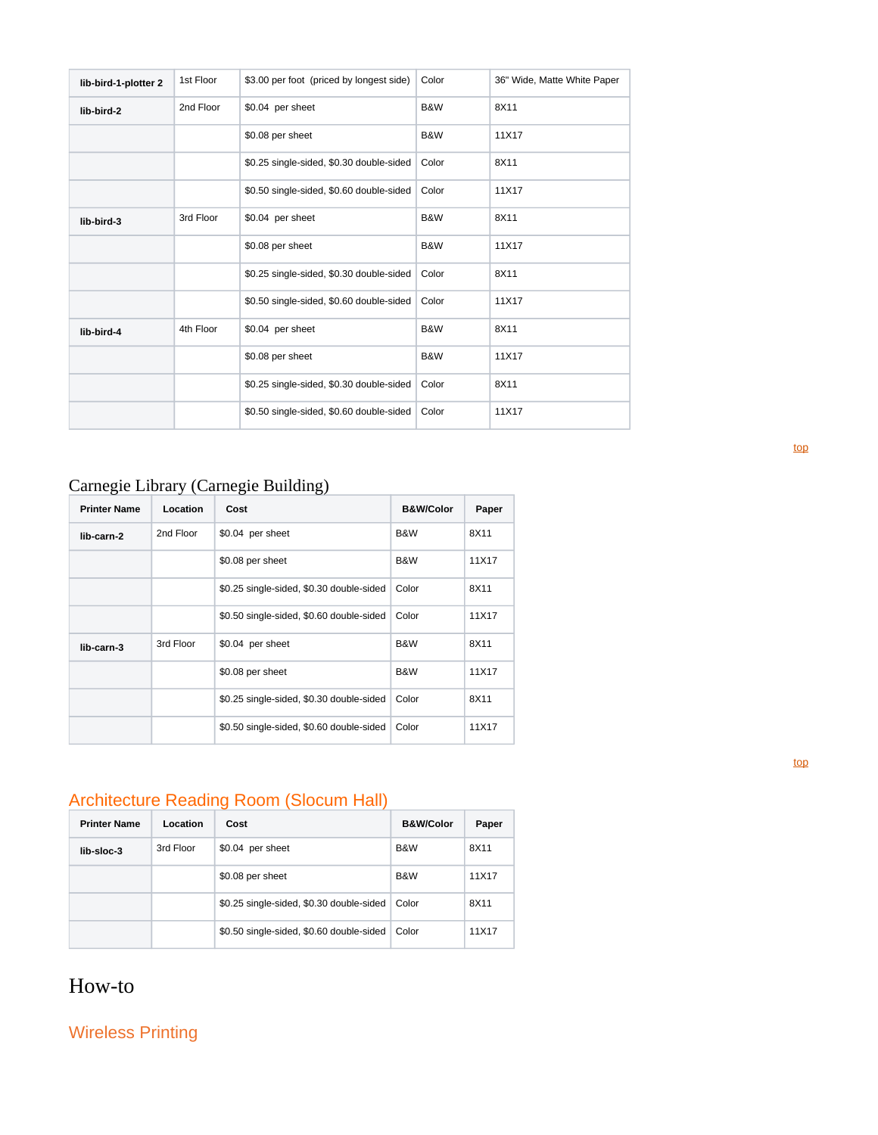| lib-bird-1-plotter 2 | 1st Floor | \$3.00 per foot (priced by longest side) | Color | 36" Wide, Matte White Paper |
|----------------------|-----------|------------------------------------------|-------|-----------------------------|
| lib-bird-2           | 2nd Floor | \$0.04 per sheet                         | B&W   | 8X11                        |
|                      |           | \$0.08 per sheet                         | B&W   | 11X17                       |
|                      |           | \$0.25 single-sided, \$0.30 double-sided | Color | 8X11                        |
|                      |           | \$0.50 single-sided, \$0.60 double-sided | Color | 11X17                       |
| lib-bird-3           | 3rd Floor | \$0.04 per sheet                         | B&W   | 8X11                        |
|                      |           | \$0.08 per sheet                         | B&W   | 11X17                       |
|                      |           | \$0.25 single-sided, \$0.30 double-sided | Color | 8X11                        |
|                      |           | \$0.50 single-sided, \$0.60 double-sided | Color | 11X17                       |
| lib-bird-4           | 4th Floor | \$0.04 per sheet                         | B&W   | 8X11                        |
|                      |           | \$0.08 per sheet                         | B&W   | 11X17                       |
|                      |           | \$0.25 single-sided, \$0.30 double-sided | Color | 8X11                        |
|                      |           | \$0.50 single-sided, \$0.60 double-sided | Color | 11X17                       |

# <span id="page-2-0"></span>Carnegie Library (Carnegie Building)

| <b>Printer Name</b> | Location  | Cost                                     | <b>B&amp;W/Color</b> | Paper |
|---------------------|-----------|------------------------------------------|----------------------|-------|
| lib-carn-2          | 2nd Floor | \$0.04 per sheet                         | B&W                  | 8X11  |
|                     |           | \$0.08 per sheet                         | B&W                  | 11X17 |
|                     |           | \$0.25 single-sided, \$0.30 double-sided | Color                | 8X11  |
|                     |           | \$0.50 single-sided, \$0.60 double-sided | Color                | 11X17 |
| lib-carn-3          | 3rd Floor | \$0.04 per sheet                         | B&W                  | 8X11  |
|                     |           | \$0.08 per sheet                         | B&W                  | 11X17 |
|                     |           | \$0.25 single-sided, \$0.30 double-sided | Color                | 8X11  |
|                     |           | \$0.50 single-sided, \$0.60 double-sided | Color                | 11X17 |

# <span id="page-2-1"></span>Architecture Reading Room (Slocum Hall)

| <b>Printer Name</b> | Location  | Cost                                     | <b>B&amp;W/Color</b> | Paper |
|---------------------|-----------|------------------------------------------|----------------------|-------|
| lib-sloc-3          | 3rd Floor | \$0.04 per sheet                         | B&W                  | 8X11  |
|                     |           | \$0.08 per sheet                         | B&W                  | 11X17 |
|                     |           | \$0.25 single-sided, \$0.30 double-sided | Color                | 8X11  |
|                     |           | \$0.50 single-sided, \$0.60 double-sided | Color                | 11X17 |

## <span id="page-2-2"></span>How-to

<span id="page-2-4"></span><span id="page-2-3"></span>Wireless Printing

[top](#page-0-3)

[top](#page-0-3)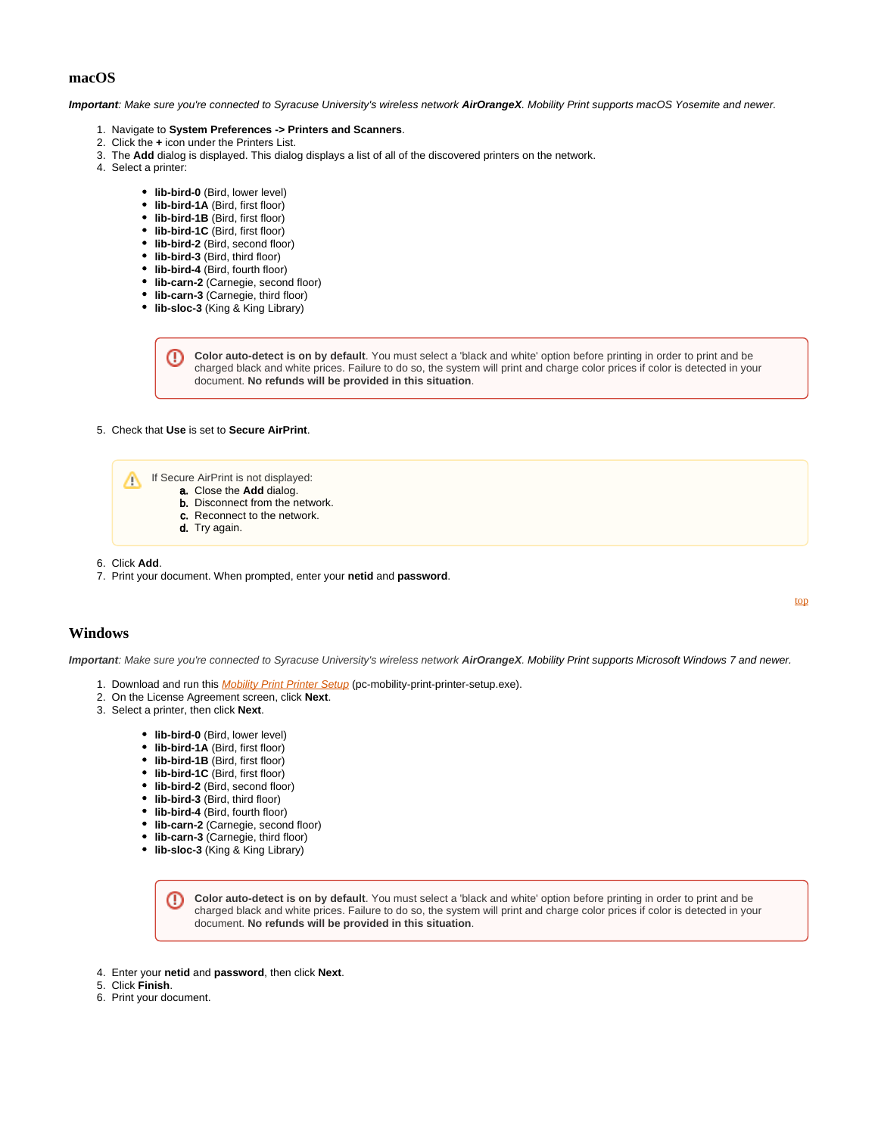### **macOS**

**Important**: Make sure you're connected to Syracuse University's wireless network **AirOrangeX**. Mobility Print supports macOS Yosemite and newer.

- 1. Navigate to **System Preferences -> Printers and Scanners**.
- 2. Click the **+** icon under the Printers List.
- 3. The **Add** dialog is displayed. This dialog displays a list of all of the discovered printers on the network.
- 4. Select a printer:
	- **lib-bird-0** (Bird, lower level)
	- **lib-bird-1A** (Bird, first floor)
	- **lib-bird-1B** (Bird, first floor)
	- **lib-bird-1C** (Bird, first floor)
	- **lib-bird-2** (Bird, second floor)
	- **lib-bird-3** (Bird, third floor)
	- **lib-bird-4** (Bird, fourth floor)
	- **lib-carn-2** (Carnegie, second floor)
	- **lib-carn-3** (Carnegie, third floor)
	- **lib-sloc-3** (King & King Library)

**Color auto-detect is on by default**. You must select a 'black and white' option before printing in order to print and be ω charged black and white prices. Failure to do so, the system will print and charge color prices if color is detected in your document. **No refunds will be provided in this situation**.

5. Check that **Use** is set to **Secure AirPrint**.

- If Secure AirPrint is not displayed: Λ
	- a. Close the **Add** dialog.
		- b. Disconnect from the network.
			- c. Reconnect to the network.
			- d. Try again.

6. Click **Add**.

7. Print your document. When prompted, enter your **netid** and **password**.

[top](#page-0-3)

### <span id="page-3-0"></span>**Windows**

**Important**: Make sure you're connected to Syracuse University's wireless network **AirOrangeX**. Mobility Print supports Microsoft Windows 7 and newer.

- 1. Download and run this *[Mobility Print Printer Setup](https://papercut.com/products/ng/mobility-print/download/client/windows/)* (pc-mobility-print-printer-setup.exe).
- 2. On the License Agreement screen, click **Next**.
- 3. Select a printer, then click **Next**.
	- **lib-bird-0** (Bird, lower level)
	- **lib-bird-1A** (Bird, first floor)
	- **lib-bird-1B** (Bird, first floor)
	- **lib-bird-1C** (Bird, first floor)
	- **lib-bird-2** (Bird, second floor)
	- **lib-bird-3** (Bird, third floor)
	- **lib-bird-4** (Bird, fourth floor)
	- **lib-carn-2** (Carnegie, second floor)
	- **lib-carn-3** (Carnegie, third floor)
	- **lib-sloc-3** (King & King Library)

**Color auto-detect is on by default**. You must select a 'black and white' option before printing in order to print and be ω charged black and white prices. Failure to do so, the system will print and charge color prices if color is detected in your document. **No refunds will be provided in this situation**.

- 4. Enter your **netid** and **password**, then click **Next**.
- 5. Click **Finish**.
- 6. Print your document.

Λ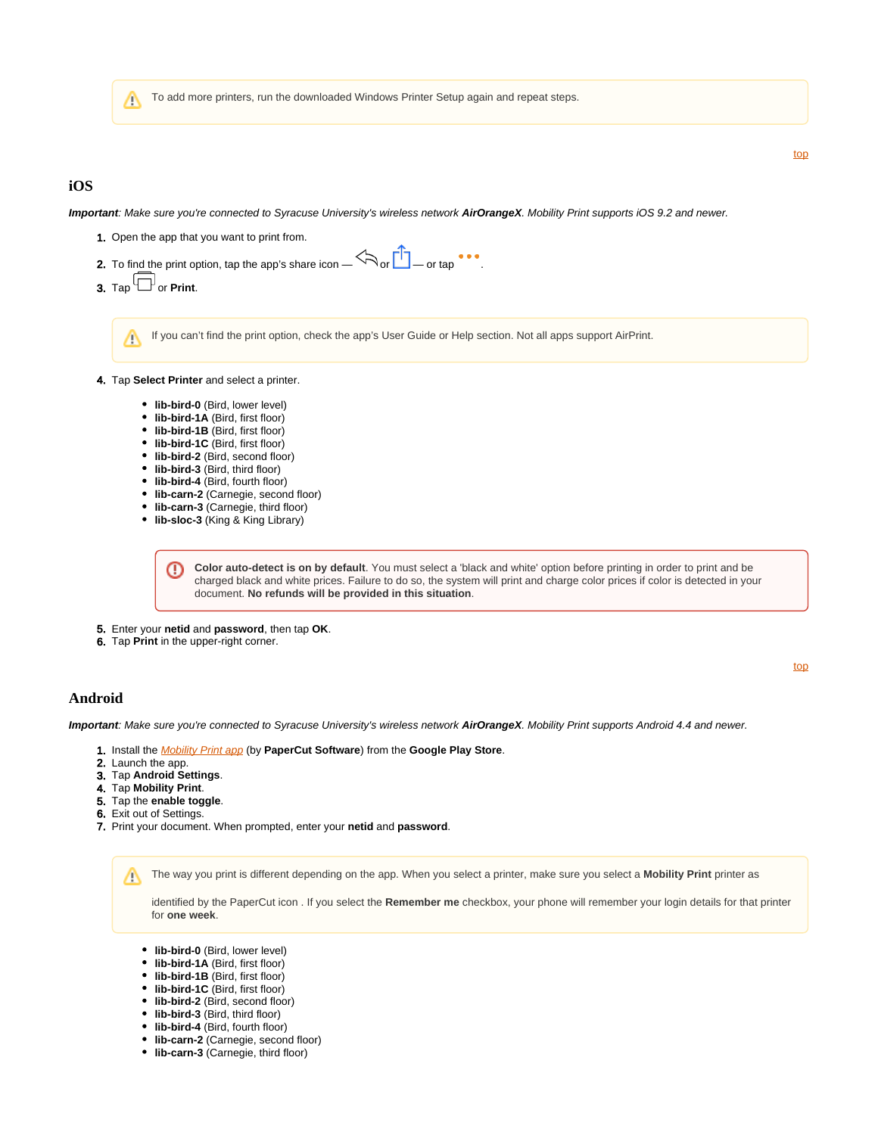To add more printers, run the downloaded Windows Printer Setup again and repeat steps. Λ

### <span id="page-4-0"></span>**iOS**

**Important**: Make sure you're connected to Syracuse University's wireless network **AirOrangeX**. Mobility Print supports iOS 9.2 and newer.

[top](#page-0-3)

[top](#page-0-3)

- 1. Open the app that you want to print from.
- 2. To find the print option, tap the app's share icon  $-\sqrt{ }$  or  $\square$  or tap ...
- **3.** Tap  $\Box$  or **Print**.

If you can't find the print option, check the app's User Guide or Help section. Not all apps support AirPrint. Λ

- 4. Tap **Select Printer** and select a printer.
	- **lib-bird-0** (Bird, lower level)
	- **lib-bird-1A** (Bird, first floor)
	- **lib-bird-1B** (Bird, first floor)
	- **lib-bird-1C** (Bird, first floor)
	- **lib-bird-2** (Bird, second floor)
	- **lib-bird-3** (Bird, third floor)
	- **lib-bird-4** (Bird, fourth floor)
	- **lib-carn-2** (Carnegie, second floor)
	- **lib-carn-3** (Carnegie, third floor)
	- **lib-sloc-3** (King & King Library)

**Color auto-detect is on by default**. You must select a 'black and white' option before printing in order to print and be ω charged black and white prices. Failure to do so, the system will print and charge color prices if color is detected in your document. **No refunds will be provided in this situation**.

5. Enter your **netid** and **password**, then tap **OK**.

6. Tap **Print** in the upper-right corner.

### <span id="page-4-1"></span>**Android**

**Important**: Make sure you're connected to Syracuse University's wireless network **AirOrangeX**. Mobility Print supports Android 4.4 and newer.

- 1. Install the [Mobility Print app](https://play.google.com/store/apps/details?id=com.papercut.projectbanksia&hl=en) (by **PaperCut Software**) from the **Google Play Store**.
- 2. Launch the app.
- 3. Tap **Android Settings**.
- 4. Tap **Mobility Print**.
- 5. Tap the **enable toggle**.
- 6. Exit out of Settings.
- 7. Print your document. When prompted, enter your **netid** and **password**.

The way you print is different depending on the app. When you select a printer, make sure you select a **Mobility Print** printer as ╱╲

identified by the PaperCut icon . If you select the **Remember me** checkbox, your phone will remember your login details for that printer for **one week**.

- **lib-bird-0** (Bird, lower level)
- **lib-bird-1A** (Bird, first floor)
- **lib-bird-1B** (Bird, first floor)
- **lib-bird-1C** (Bird, first floor)
- **lib-bird-2** (Bird, second floor)
- **lib-bird-3** (Bird, third floor)
- **lib-bird-4** (Bird, fourth floor)
- **lib-carn-2** (Carnegie, second floor)
- **lib-carn-3** (Carnegie, third floor)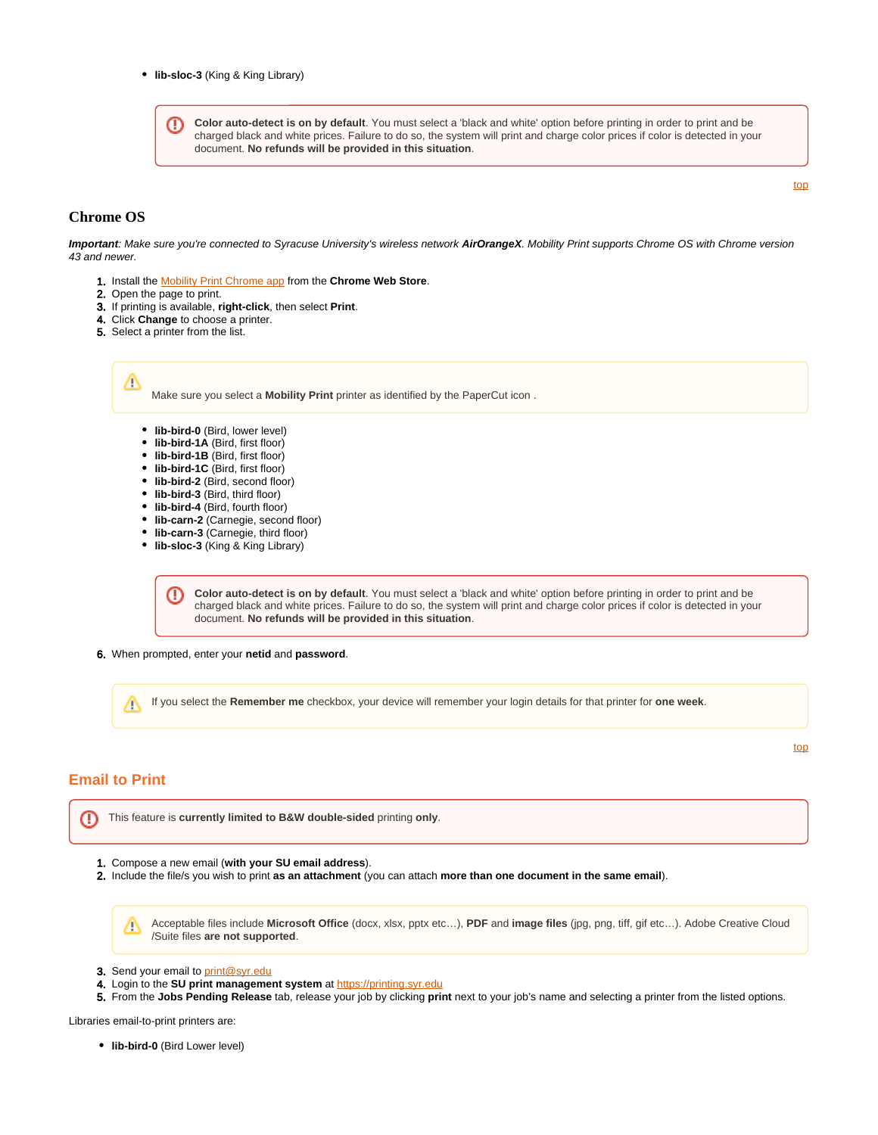**Color auto-detect is on by default**. You must select a 'black and white' option before printing in order to print and be ⊕ charged black and white prices. Failure to do so, the system will print and charge color prices if color is detected in your document. **No refunds will be provided in this situation**.

#### [top](#page-0-3)

#### <span id="page-5-0"></span>**Chrome OS**

**Important**: Make sure you're connected to Syracuse University's wireless network **AirOrangeX**. Mobility Print supports Chrome OS with Chrome version 43 and newer.

- 1. Install the [Mobility Print Chrome app](https://chrome.google.com/webstore/detail/project-banksia/alhngdkjgnedakdlnamimgfihgkmenbh) from the **Chrome Web Store**.
- 2. Open the page to print.

₾

- 3. If printing is available, **right-click**, then select **Print**.
- 4. Click **Change** to choose a printer.
- 5. Select a printer from the list.

Make sure you select a **Mobility Print** printer as identified by the PaperCut icon .

- **lib-bird-0** (Bird, lower level)
- **lib-bird-1A** (Bird, first floor)
- **lib-bird-1B** (Bird, first floor)
- **lib-bird-1C** (Bird, first floor)
- **lib-bird-2** (Bird, second floor)
- **lib-bird-3** (Bird, third floor)
- **lib-bird-4** (Bird, fourth floor)
- **lib-carn-2** (Carnegie, second floor)
- **lib-carn-3** (Carnegie, third floor)
- **lib-sloc-3** (King & King Library)

**Color auto-detect is on by default**. You must select a 'black and white' option before printing in order to print and be O) charged black and white prices. Failure to do so, the system will print and charge color prices if color is detected in your document. **No refunds will be provided in this situation**.

6. When prompted, enter your **netid** and **password**.

If you select the **Remember me** checkbox, your device will remember your login details for that printer for **one week**. Λ

### <span id="page-5-1"></span>**Email to Print**

[top](#page-0-3)

This feature is **currently limited to B&W double-sided** printing **only**. ⊕

- 1. Compose a new email (**with your SU email address**).
- 2. Include the file/s you wish to print **as an attachment** (you can attach **more than one document in the same email**).

Acceptable files include **Microsoft Office** (docx, xlsx, pptx etc…), **PDF** and **image files** (jpg, png, tiff, gif etc…). Adobe Creative Cloud Δ /Suite files **are not supported**.

- 3. Send your email to [print@syr.edu](mailto:print@syr.edu)
- 4. Login to the **SU print management system** at [https://printing.syr.edu](https://printing.syr.edu/)
- 5. From the **Jobs Pending Release** tab, release your job by clicking **print** next to your job's name and selecting a printer from the listed options.

Libraries email-to-print printers are:

**lib-bird-0** (Bird Lower level)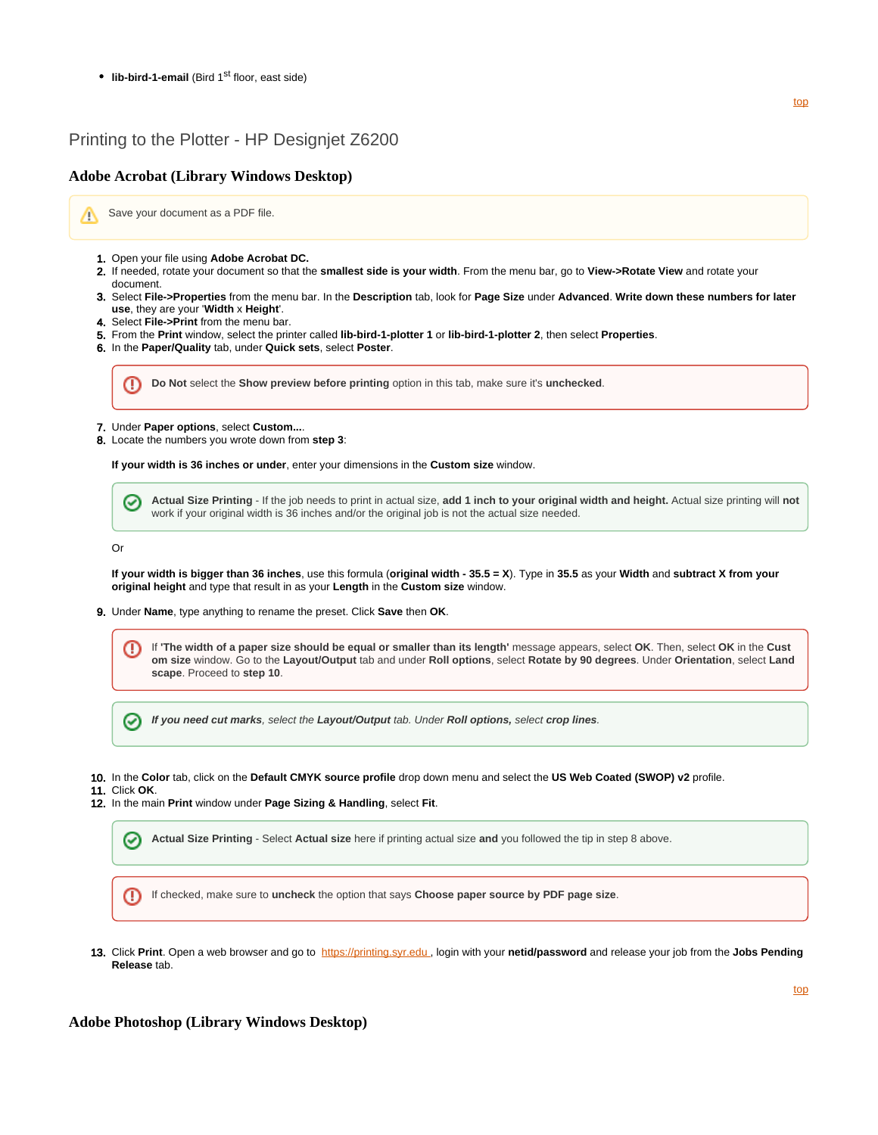• **lib-bird-1-email** (Bird 1<sup>st</sup> floor, east side)

### <span id="page-6-0"></span>Printing to the Plotter - HP Designjet Z6200

#### <span id="page-6-1"></span>**Adobe Acrobat (Library Windows Desktop)**

Save your document as a PDF file. Λ

- 1. Open your file using **Adobe Acrobat DC.**
- 2. If needed, rotate your document so that the **smallest side is your width**. From the menu bar, go to **View->Rotate View** and rotate your document.
- 3. Select **File->Properties** from the menu bar. In the **Description** tab, look for **Page Size** under **Advanced**. **Write down these numbers for later use**, they are your '**Width** x **Height**'.
- 4. Select **File->Print** from the menu bar.
- 5. From the **Print** window, select the printer called **lib-bird-1-plotter 1** or **lib-bird-1-plotter 2**, then select **Properties**.
- 6. In the **Paper/Quality** tab, under **Quick sets**, select **Poster**.

⊕ **Do Not** select the **Show preview before printing** option in this tab, make sure it's **unchecked**.

- 7. Under **Paper options**, select **Custom...**.
- 8. Locate the numbers you wrote down from **step 3**:

**If your width is 36 inches or under**, enter your dimensions in the **Custom size** window.

**Actual Size Printing** - If the job needs to print in actual size, **add 1 inch to your original width and height.** Actual size printing will **not** ∞ work if your original width is 36 inches and/or the original job is not the actual size needed.

Or

**If your width is bigger than 36 inches**, use this formula (**original width - 35.5 = X**). Type in **35.5** as your **Width** and **subtract X from your original height** and type that result in as your **Length** in the **Custom size** window.

- 9. Under **Name**, type anything to rename the preset. Click **Save** then **OK**.
	- If **'The width of a paper size should be equal or smaller than its length'** message appears, select **OK**. Then, select **OK** in the **Cust** Ø **om size** window. Go to the **Layout/Output** tab and under **Roll options**, select **Rotate by 90 degrees**. Under **Orientation**, select **Land scape**. Proceed to **step 10**.

**If you need cut marks**, select the **Layout/Output** tab. Under **Roll options,** select **crop lines**. ∞

10. In the **Color** tab, click on the **Default CMYK source profile** drop down menu and select the **US Web Coated (SWOP) v2** profile.

11. Click **OK**.

12. In the main **Print** window under **Page Sizing & Handling**, select **Fit**.



⋒ If checked, make sure to **uncheck** the option that says **Choose paper source by PDF page size**.

13. Click **Print**. Open a web browser and go to [https://printing.syr.edu](https://printing.syr.edu/user) , login with your **netid/password** and release your job from the **Jobs Pending Release** tab.

### <span id="page-6-2"></span>**Adobe Photoshop (Library Windows Desktop)**

[top](#page-0-3)